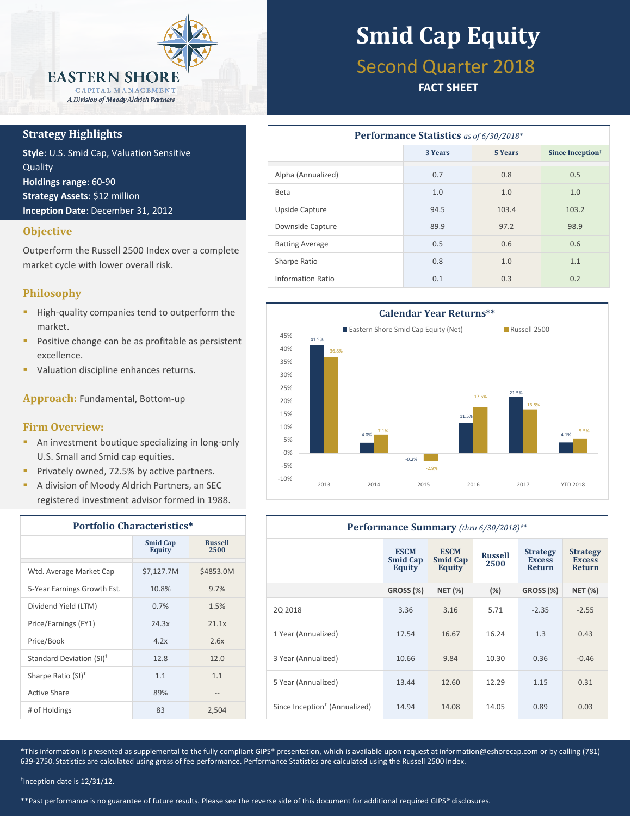

#### **Strategy Highlights**

**Style**: U.S. Smid Cap, Valuation Sensitive **Quality Holdings range**: 60-90 **Strategy Assets**: \$12 million **Inception Date**: December 31, 2012

#### **Objective**

Outperform the Russell 2500 Index over a complete market cycle with lower overall risk.

#### **Philosophy**

- **High-quality companies tend to outperform the** market.
- **Positive change can be as profitable as persistent** excellence.
- **Valuation discipline enhances returns.**

**Approach:** Fundamental, Bottom-up

#### **Firm Overview:**

- **An investment boutique specializing in long-only** U.S. Small and Smid cap equities.
- **Privately owned, 72.5% by active partners.**
- **A division of Moody Aldrich Partners, an SEC** registered investment advisor formed in 1988.

| <b>Portfolio Characteristics*</b>    |                                  |                        |  |  |
|--------------------------------------|----------------------------------|------------------------|--|--|
|                                      | <b>Smid Cap</b><br><b>Equity</b> | <b>Russell</b><br>2500 |  |  |
| Wtd. Average Market Cap              | \$7,127.7M                       | \$4853.0M              |  |  |
| 5-Year Earnings Growth Est.          | 10.8%                            | 9.7%                   |  |  |
| Dividend Yield (LTM)                 | 0.7%                             | 1.5%                   |  |  |
| Price/Earnings (FY1)                 | 24.3x                            | 21.1x                  |  |  |
| Price/Book                           | 4.2x                             | 2.6x                   |  |  |
| Standard Deviation (SI) <sup>†</sup> | 12.8                             | 12.0                   |  |  |
| Sharpe Ratio (SI) <sup>+</sup>       | 1.1                              | 1.1                    |  |  |
| Active Share                         | 89%                              |                        |  |  |
| # of Holdings                        | 83                               | 2,504                  |  |  |

# **Smid Cap Equity**

### Second Quarter 2018

#### **FACT SHEET**

| <b>Performance Statistics</b> as of 6/30/2018* |         |                |                              |  |  |  |
|------------------------------------------------|---------|----------------|------------------------------|--|--|--|
|                                                | 3 Years | <b>5 Years</b> | Since Inception <sup>†</sup> |  |  |  |
| Alpha (Annualized)                             | 0.7     | 0.8            | 0.5                          |  |  |  |
| <b>Beta</b>                                    | 1.0     | 1.0            | 1.0                          |  |  |  |
| Upside Capture                                 | 94.5    | 103.4          | 103.2                        |  |  |  |
| Downside Capture                               | 89.9    | 97.2           | 98.9                         |  |  |  |
| <b>Batting Average</b>                         | 0.5     | 0.6            | 0.6                          |  |  |  |
| Sharpe Ratio                                   | 0.8     | 1.0            | 1.1                          |  |  |  |
| Information Ratio                              | 0.1     | 0.3            | 0.2                          |  |  |  |



| Performance Summary (thru 6/30/2018)**    |                                          |                                          |                        |                                                   |                                                   |  |
|-------------------------------------------|------------------------------------------|------------------------------------------|------------------------|---------------------------------------------------|---------------------------------------------------|--|
|                                           | <b>ESCM</b><br><b>Smid Cap</b><br>Equity | <b>ESCM</b><br><b>Smid Cap</b><br>Equity | <b>Russell</b><br>2500 | <b>Strategy</b><br><b>Excess</b><br><b>Return</b> | <b>Strategy</b><br><b>Excess</b><br><b>Return</b> |  |
|                                           | GROSS (%)                                | <b>NET (%)</b>                           | (%)                    | GROSS (%)                                         | <b>NET (%)</b>                                    |  |
| 20 2018                                   | 3.36                                     | 3.16                                     | 5.71                   | $-2.35$                                           | $-2.55$                                           |  |
| 1 Year (Annualized)                       | 17.54                                    | 16.67                                    | 16.24                  | 1.3                                               | 0.43                                              |  |
| 3 Year (Annualized)                       | 10.66                                    | 9.84                                     | 10.30                  | 0.36                                              | $-0.46$                                           |  |
| 5 Year (Annualized)                       | 13.44                                    | 12.60                                    | 12.29                  | 1.15                                              | 0.31                                              |  |
| Since Inception <sup>†</sup> (Annualized) | 14.94                                    | 14.08                                    | 14.05                  | 0.89                                              | 0.03                                              |  |

\*This information is presented as supplemental to the fully compliant GIPS® presentation, which is available upon request at information@eshorecap.com or by calling (781) 639-2750. Statistics are calculated using gross of fee performance. Performance Statistics are calculated using the Russell 2500 Index.

† Inception date is 12/31/12.

\*\*Past performance is no guarantee of future results. Please see the reverse side of this document for additional required GIPS® disclosures.